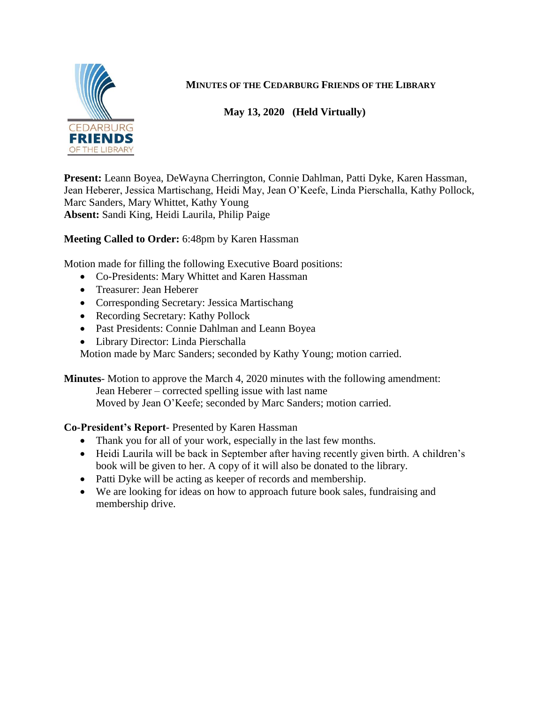

**MINUTES OF THE CEDARBURG FRIENDS OF THE LIBRARY**

**May 13, 2020 (Held Virtually)**

**Present:** Leann Boyea, DeWayna Cherrington, Connie Dahlman, Patti Dyke, Karen Hassman, Jean Heberer, Jessica Martischang, Heidi May, Jean O'Keefe, Linda Pierschalla, Kathy Pollock, Marc Sanders, Mary Whittet, Kathy Young **Absent:** Sandi King, Heidi Laurila, Philip Paige

**Meeting Called to Order:** 6:48pm by Karen Hassman

Motion made for filling the following Executive Board positions:

- Co-Presidents: Mary Whittet and Karen Hassman
- Treasurer: Jean Heberer
- Corresponding Secretary: Jessica Martischang
- Recording Secretary: Kathy Pollock
- Past Presidents: Connie Dahlman and Leann Boyea
- Library Director: Linda Pierschalla

Motion made by Marc Sanders; seconded by Kathy Young; motion carried.

**Minutes**- Motion to approve the March 4, 2020 minutes with the following amendment: Jean Heberer – corrected spelling issue with last name Moved by Jean O'Keefe; seconded by Marc Sanders; motion carried.

**Co-President's Report**- Presented by Karen Hassman

- Thank you for all of your work, especially in the last few months.
- Heidi Laurila will be back in September after having recently given birth. A children's book will be given to her. A copy of it will also be donated to the library.
- Patti Dyke will be acting as keeper of records and membership.
- We are looking for ideas on how to approach future book sales, fundraising and membership drive.